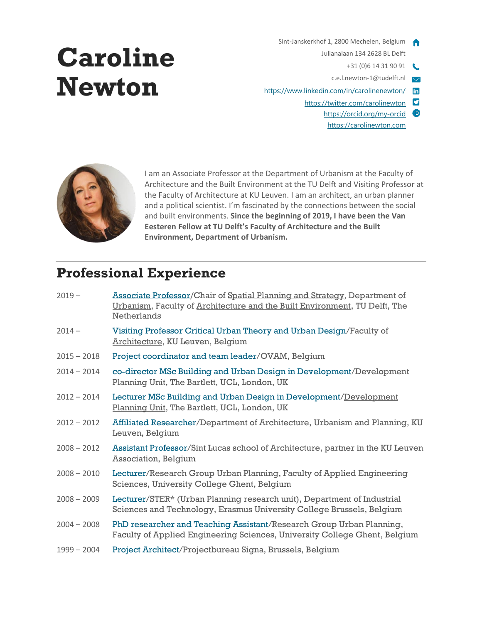### Sint-Janskerkhof 1, 2800 Mechelen, Belgium Julianalaan 134 2628 BL Delft

- +31 (0)6 14 31 90 91
- c.e.l.newton-1@tudelft.nl
- <https://www.linkedin.com/in/carolinenewton/> in
	- <https://twitter.com/carolinewton>
		- <https://orcid.org/my-orcid> [https://carolinewton.com](https://carolinewton.com/)



**Caroline** 

**Newton**

I am an Associate Professor at the Department of Urbanism at the Faculty of Architecture and the Built Environment at the TU Delft and Visiting Professor at the Faculty of Architecture at KU Leuven. I am an architect, an urban planner and a political scientist. I'm fascinated by the connections between the social and built environments. **Since the beginning of 2019, I have been the Van Eesteren Fellow at TU Delft's Faculty of Architecture and the Built Environment, Department of Urbanism.**

# **Professional Experience**

| Associate Professor/Chair of Spatial Planning and Strategy, Department of<br>Urbanism, Faculty of Architecture and the Built Environment, TU Delft, The<br><b>Netherlands</b> |
|-------------------------------------------------------------------------------------------------------------------------------------------------------------------------------|
| Visiting Professor Critical Urban Theory and Urban Design/Faculty of<br>Architecture, KU Leuven, Belgium                                                                      |
| Project coordinator and team leader/OVAM, Belgium                                                                                                                             |
| co-director MSc Building and Urban Design in Development/Development<br>Planning Unit, The Bartlett, UCL, London, UK                                                          |
| Lecturer MSc Building and Urban Design in Development/Development<br>Planning Unit, The Bartlett, UCL, London, UK                                                             |
| Affiliated Researcher/Department of Architecture, Urbanism and Planning, KU<br>Leuven, Belgium                                                                                |
| Assistant Professor/Sint Lucas school of Architecture, partner in the KU Leuven<br><b>Association, Belgium</b>                                                                |
| Lecturer/Research Group Urban Planning, Faculty of Applied Engineering<br>Sciences, University College Ghent, Belgium                                                         |
| Lecturer/STER* (Urban Planning research unit), Department of Industrial<br>Sciences and Technology, Erasmus University College Brussels, Belgium                              |
| PhD researcher and Teaching Assistant/Research Group Urban Planning,<br>Faculty of Applied Engineering Sciences, University College Ghent, Belgium                            |
| Project Architect/Projectbureau Signa, Brussels, Belgium                                                                                                                      |
|                                                                                                                                                                               |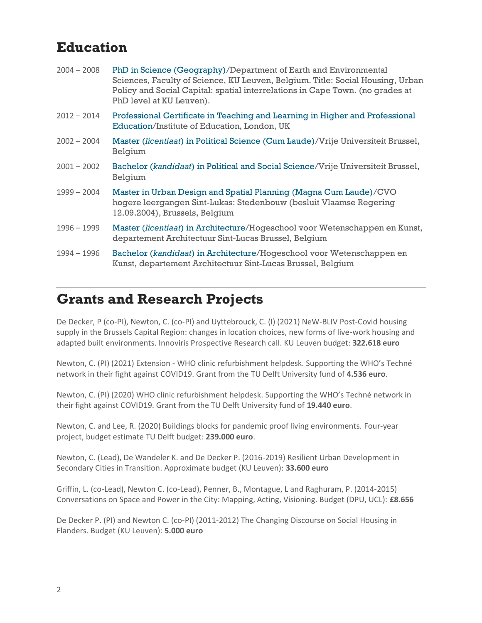## **Education**

| $2004 - 2008$ | PhD in Science (Geography)/Department of Earth and Environmental<br>Sciences, Faculty of Science, KU Leuven, Belgium. Title: Social Housing, Urban<br>Policy and Social Capital: spatial interrelations in Cape Town. (no grades at<br>PhD level at KU Leuven). |
|---------------|-----------------------------------------------------------------------------------------------------------------------------------------------------------------------------------------------------------------------------------------------------------------|
| $2012 - 2014$ | Professional Certificate in Teaching and Learning in Higher and Professional<br>Education/Institute of Education, London, UK                                                                                                                                    |
| $2002 - 2004$ | Master (licentiaat) in Political Science (Cum Laude)/Vrije Universiteit Brussel,<br>Belgium                                                                                                                                                                     |
| $2001 - 2002$ | Bachelor (kandidaat) in Political and Social Science/Vrije Universiteit Brussel,<br>Belgium                                                                                                                                                                     |
| $1999 - 2004$ | Master in Urban Design and Spatial Planning (Magna Cum Laude)/CVO<br>hogere leergangen Sint-Lukas: Stedenbouw (besluit Vlaamse Regering<br>12.09.2004), Brussels, Belgium                                                                                       |
| 1996 - 1999   | Master (licentiaat) in Architecture/Hogeschool voor Wetenschappen en Kunst,<br>departement Architectuur Sint-Lucas Brussel, Belgium                                                                                                                             |
| 1994 - 1996   | Bachelor (kandidaat) in Architecture/Hogeschool voor Wetenschappen en<br>Kunst, departement Architectuur Sint-Lucas Brussel, Belgium                                                                                                                            |

# **Grants and Research Projects**

De Decker, P (co-PI), Newton, C. (co-PI) and Uyttebrouck, C. (I) (2021) NeW-BLIV Post-Covid housing supply in the Brussels Capital Region: changes in location choices, new forms of live-work housing and adapted built environments. Innoviris Prospective Research call. KU Leuven budget: **322.618 euro**

Newton, C. (PI) (2021) Extension - WHO clinic refurbishment helpdesk. Supporting the WHO's Techné network in their fight against COVID19. Grant from the TU Delft University fund of **4.536 euro**.

Newton, C. (PI) (2020) WHO clinic refurbishment helpdesk. Supporting the WHO's Techné network in their fight against COVID19. Grant from the TU Delft University fund of **19.440 euro**.

Newton, C. and Lee, R. (2020) Buildings blocks for pandemic proof living environments. Four-year project, budget estimate TU Delft budget: **239.000 euro**.

Newton, C. (Lead), De Wandeler K. and De Decker P. (2016-2019) Resilient Urban Development in Secondary Cities in Transition. Approximate budget (KU Leuven): **33.600 euro**

Griffin, L. (co-Lead), Newton C. (co-Lead), Penner, B., Montague, L and Raghuram, P. (2014-2015) Conversations on Space and Power in the City: Mapping, Acting, Visioning. Budget (DPU, UCL): **£8.656**

De Decker P. (PI) and Newton C. (co-PI) (2011-2012) The Changing Discourse on Social Housing in Flanders. Budget (KU Leuven): **5.000 euro**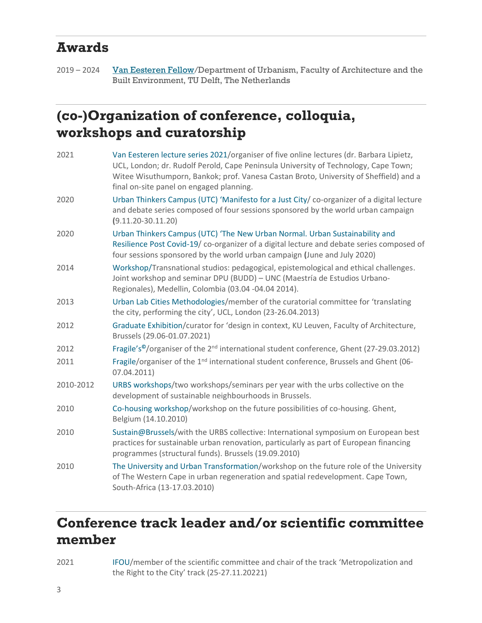## **Awards**

2019 – 2024 [Van Eesteren Fellow/](https://vaneesterenfellowship.org/)Department of Urbanism, Faculty of Architecture and the Built Environment, TU Delft, The Netherlands

# **(co-)Organization of conference, colloquia, workshops and curatorship**

| 2021      | Van Eesteren lecture series 2021/organiser of five online lectures (dr. Barbara Lipietz,<br>UCL, London; dr. Rudolf Perold, Cape Peninsula University of Technology, Cape Town;<br>Witee Wisuthumporn, Bankok; prof. Vanesa Castan Broto, University of Sheffield) and a<br>final on-site panel on engaged planning. |
|-----------|----------------------------------------------------------------------------------------------------------------------------------------------------------------------------------------------------------------------------------------------------------------------------------------------------------------------|
| 2020      | Urban Thinkers Campus (UTC) 'Manifesto for a Just City/ co-organizer of a digital lecture<br>and debate series composed of four sessions sponsored by the world urban campaign<br>$(9.11.20 - 30.11.20)$                                                                                                             |
| 2020      | Urban Thinkers Campus (UTC) 'The New Urban Normal. Urban Sustainability and<br>Resilience Post Covid-19/ co-organizer of a digital lecture and debate series composed of<br>four sessions sponsored by the world urban campaign (June and July 2020)                                                                 |
| 2014      | Workshop/Transnational studios: pedagogical, epistemological and ethical challenges.<br>Joint workshop and seminar DPU (BUDD) - UNC (Maestría de Estudios Urbano-<br>Regionales), Medellin, Colombia (03.04 -04.04 2014).                                                                                            |
| 2013      | Urban Lab Cities Methodologies/member of the curatorial committee for 'translating<br>the city, performing the city', UCL, London (23-26.04.2013)                                                                                                                                                                    |
| 2012      | Graduate Exhibition/curator for 'design in context, KU Leuven, Faculty of Architecture,<br>Brussels (29.06-01.07.2021)                                                                                                                                                                                               |
| 2012      | Fragile's <sup>®</sup> /organiser of the 2 <sup>nd</sup> international student conference, Ghent (27-29.03.2012)                                                                                                                                                                                                     |
| 2011      | Fragile/organiser of the 1 <sup>nd</sup> international student conference, Brussels and Ghent (06-<br>07.04.2011)                                                                                                                                                                                                    |
| 2010-2012 | URBS workshops/two workshops/seminars per year with the urbs collective on the<br>development of sustainable neighbourhoods in Brussels.                                                                                                                                                                             |
| 2010      | Co-housing workshop/workshop on the future possibilities of co-housing. Ghent,<br>Belgium (14.10.2010)                                                                                                                                                                                                               |
| 2010      | Sustain@Brussels/with the URBS collective: International symposium on European best<br>practices for sustainable urban renovation, particularly as part of European financing<br>programmes (structural funds). Brussels (19.09.2010)                                                                                |
| 2010      | The University and Urban Transformation/workshop on the future role of the University<br>of The Western Cape in urban regeneration and spatial redevelopment. Cape Town,<br>South-Africa (13-17.03.2010)                                                                                                             |

# **Conference track leader and/or scientific committee member**

2021 IFOU/member of the scientific committee and chair of the track 'Metropolization and the Right to the City' track (25-27.11.20221)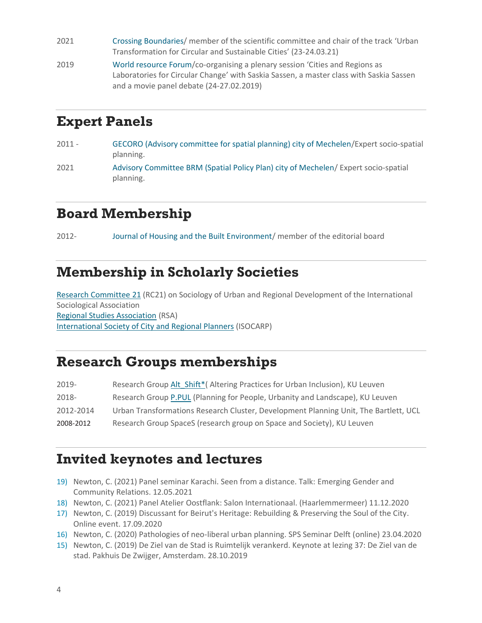- 2021 Crossing Boundaries/ member of the scientific committee and chair of the track 'Urban Transformation for Circular and Sustainable Cities' (23-24.03.21)
- 2019 World resource Forum/co-organising a plenary session 'Cities and Regions as Laboratories for Circular Change' with Saskia Sassen, a master class with Saskia Sassen and a movie panel debate (24-27.02.2019)

## **Expert Panels**

- 2011 GECORO (Advisory committee for spatial planning) city of Mechelen/Expert socio-spatial planning.
- 2021 Advisory Committee BRM (Spatial Policy Plan) city of Mechelen/ Expert socio-spatial planning.

## **Board Membership**

2012- Journal of Housing and the Built Environment/ member of the editorial board

## **Membership in Scholarly Societies**

Research [Committee](http://www.rc21.org/en/rc21-introduction/) 21 (RC21) on Sociology of Urban and Regional Development of the International Sociological Association [Regional Studies Association](https://www.regionalstudies.org/) (RSA) [International Society of City and Regional Planners](https://isocarp.org/) (ISOCARP)

### **Research Groups memberships**

| 2019-     | Research Group Alt Shift* (Altering Practices for Urban Inclusion), KU Leuven        |
|-----------|--------------------------------------------------------------------------------------|
| 2018-     | Research Group P.PUL (Planning for People, Urbanity and Landscape), KU Leuven        |
| 2012-2014 | Urban Transformations Research Cluster, Development Planning Unit, The Bartlett, UCL |
| 2008-2012 | Research Group SpaceS (research group on Space and Society), KU Leuven               |

## **Invited keynotes and lectures**

- 19) Newton, C. (2021) Panel seminar Karachi. Seen from a distance. Talk: Emerging Gender and Community Relations. 12.05.2021
- 18) Newton, C. (2021) Panel Atelier Oostflank: Salon Internationaal. (Haarlemmermeer) 11.12.2020
- 17) Newton, C. (2019) Discussant for Beirut's Heritage: Rebuilding & Preserving the Soul of the City. Online event. 17.09.2020
- 16) Newton, C. (2020) Pathologies of neo-liberal urban planning. SPS Seminar Delft (online) 23.04.2020
- 15) Newton, C. (2019) De Ziel van de Stad is Ruimtelijk verankerd. Keynote at lezing 37: De Ziel van de stad. Pakhuis De Zwijger, Amsterdam. 28.10.2019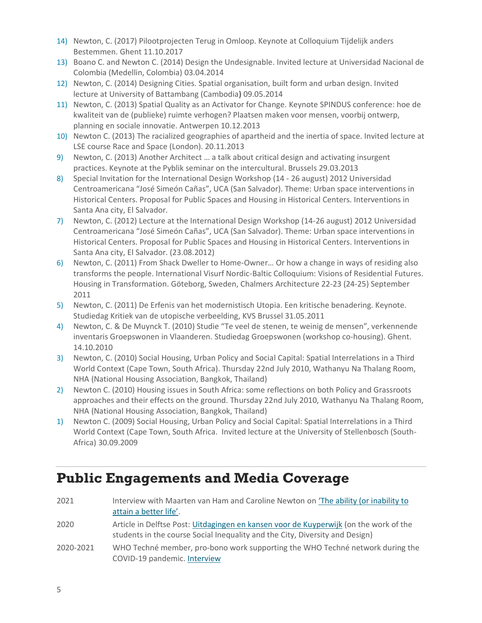- 14) Newton, C. (2017) Pilootprojecten Terug in Omloop. Keynote at Colloquium Tijdelijk anders Bestemmen. Ghent 11.10.2017
- 13) Boano C. and Newton C. (2014) Design the Undesignable. Invited lecture at Universidad Nacional de Colombia (Medellin, Colombia) 03.04.2014
- 12) Newton, C. (2014) Designing Cities. Spatial organisation, built form and urban design. Invited lecture at University of Battambang (Cambodia**)** 09.05.2014
- 11) Newton, C. (2013) Spatial Quality as an Activator for Change. Keynote SPINDUS conference: hoe de kwaliteit van de (publieke) ruimte verhogen? Plaatsen maken voor mensen, voorbij ontwerp, planning en sociale innovatie. Antwerpen 10.12.2013
- 10) Newton C. (2013) The racialized geographies of apartheid and the inertia of space. Invited lecture at LSE course Race and Space (London). 20.11.2013
- 9) Newton, C. (2013) Another Architect … a talk about critical design and activating insurgent practices. Keynote at the Pyblik seminar on the intercultural. Brussels 29.03.2013
- 8) Special Invitation for the International Design Workshop (14 26 august) 2012 Universidad Centroamericana "José Simeón Cañas", UCA (San Salvador). Theme: Urban space interventions in Historical Centers. Proposal for Public Spaces and Housing in Historical Centers. Interventions in Santa Ana city, El Salvador.
- 7) Newton, C. (2012) Lecture at the International Design Workshop (14-26 august) 2012 Universidad Centroamericana "José Simeón Cañas", UCA (San Salvador). Theme: Urban space interventions in Historical Centers. Proposal for Public Spaces and Housing in Historical Centers. Interventions in Santa Ana city, El Salvador. (23.08.2012)
- 6) Newton, C. (2011) From Shack Dweller to Home-Owner… Or how a change in ways of residing also transforms the people. International Visurf Nordic-Baltic Colloquium: Visions of Residential Futures. Housing in Transformation. Göteborg, Sweden, Chalmers Architecture 22-23 (24-25) September 2011
- 5) Newton, C. (2011) De Erfenis van het modernistisch Utopia. Een kritische benadering. Keynote. Studiedag Kritiek van de utopische verbeelding, KVS Brussel 31.05.2011
- 4) Newton, C. & De Muynck T. (2010) Studie "Te veel de stenen, te weinig de mensen", verkennende inventaris Groepswonen in Vlaanderen. Studiedag Groepswonen (workshop co-housing). Ghent. 14.10.2010
- 3) Newton, C. (2010) Social Housing, Urban Policy and Social Capital: Spatial Interrelations in a Third World Context (Cape Town, South Africa). Thursday 22nd July 2010, Wathanyu Na Thalang Room, NHA (National Housing Association, Bangkok, Thailand)
- 2) Newton C. (2010) Housing issues in South Africa: some reflections on both Policy and Grassroots approaches and their effects on the ground. Thursday 22nd July 2010, Wathanyu Na Thalang Room, NHA (National Housing Association, Bangkok, Thailand)
- 1) Newton C. (2009) Social Housing, Urban Policy and Social Capital: Spatial Interrelations in a Third World Context (Cape Town, South Africa. Invited lecture at the University of Stellenbosch (South-Africa) 30.09.2009

## **Public Engagements and Media Coverage**

| 2021      | Interview with Maarten van Ham and Caroline Newton on 'The ability (or inability to<br>attain a better life'.                                                         |
|-----------|-----------------------------------------------------------------------------------------------------------------------------------------------------------------------|
| 2020      | Article in Delftse Post: Uitdagingen en kansen voor de Kuyperwijk (on the work of the<br>students in the course Social Inequality and the City, Diversity and Design) |
| 2020-2021 | WHO Techné member, pro-bono work supporting the WHO Techné network during the<br>COVID-19 pandemic. Interview                                                         |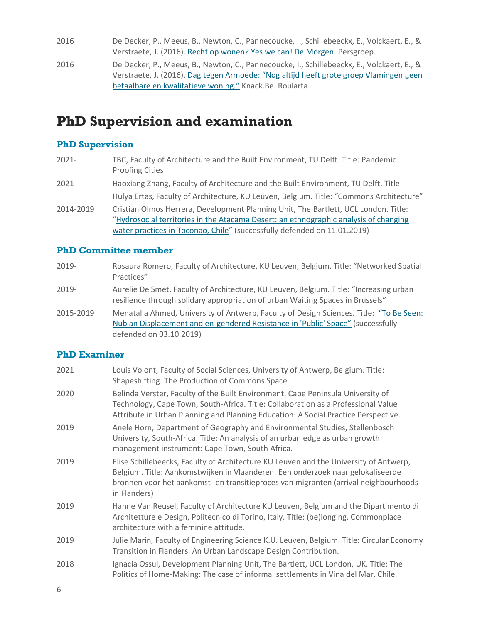2016 De Decker, P., Meeus, B., Newton, C., Pannecoucke, I., Schillebeeckx, E., Volckaert, E., & Verstraete, J. (2016). [Recht op wonen? Yes we can! De Morgen.](https://www.demorgen.be/nieuws/recht-op-wonen-voor-iedereen-yes-we-can~b5e22708/) Persgroep. 2016 De Decker, P., Meeus, B., Newton, C., Pannecoucke, I., Schillebeeckx, E., Volckaert, E., & Verstraete, J. (2016). [Dag tegen Armoede: "Nog altijd heeft grote groep Vlamingen](https://www.knack.be/nieuws/belgie/dag-tegen-armoede-nog-altijd-heeft-grote-groep-vlamingen-geen-betaalbare-en-kwalitatieve-woning/article-opinion-764769.html?cookie_check=1621172930) geen [betaalbare en kwalitatieve woning."](https://www.knack.be/nieuws/belgie/dag-tegen-armoede-nog-altijd-heeft-grote-groep-vlamingen-geen-betaalbare-en-kwalitatieve-woning/article-opinion-764769.html?cookie_check=1621172930) Knack.Be. Roularta.

### **PhD Supervision and examination**

#### **PhD Supervision**

- 2021- TBC, Faculty of Architecture and the Built Environment, TU Delft. Title: Pandemic Proofing Cities
- 2021- Haoxiang Zhang, Faculty of Architecture and the Built Environment, TU Delft. Title: Hulya Ertas, Faculty of Architecture, KU Leuven, Belgium. Title: "Commons Architecture"
- 2014-2019 Cristian Olmos Herrera, Development Planning Unit, The Bartlett, UCL London. Title: "[Hydrosocial territories in the Atacama Desert: an ethnographic analysis of changing](https://discovery.ucl.ac.uk/id/eprint/10074956/)  [water practices in Toconao, Chile](https://discovery.ucl.ac.uk/id/eprint/10074956/)" (successfully defended on 11.01.2019)

#### **PhD Committee member**

- 2019- Rosaura Romero, Faculty of Architecture, KU Leuven, Belgium. Title: "Networked Spatial Practices"
- 2019- Aurelie De Smet, Faculty of Architecture, KU Leuven, Belgium. Title: "Increasing urban resilience through solidary appropriation of urban Waiting Spaces in Brussels"
- 2015-2019 Menatalla Ahmed, University of Antwerp, Faculty of Design Sciences. Title: ["To Be Seen:](https://repository.uantwerpen.be/docman/irua/7cef5f/162616.pdf)  Nubian Displacement and en-[gendered Resistance in 'Public' Space"](https://repository.uantwerpen.be/docman/irua/7cef5f/162616.pdf) (successfully defended on 03.10.2019)

#### **PhD Examiner**

| 2021 | Louis Volont, Faculty of Social Sciences, University of Antwerp, Belgium. Title:<br>Shapeshifting. The Production of Commons Space.                                                                                                                                             |
|------|---------------------------------------------------------------------------------------------------------------------------------------------------------------------------------------------------------------------------------------------------------------------------------|
| 2020 | Belinda Verster, Faculty of the Built Environment, Cape Peninsula University of<br>Technology, Cape Town, South-Africa. Title: Collaboration as a Professional Value<br>Attribute in Urban Planning and Planning Education: A Social Practice Perspective.                      |
| 2019 | Anele Horn, Department of Geography and Environmental Studies, Stellenbosch<br>University, South-Africa. Title: An analysis of an urban edge as urban growth<br>management instrument: Cape Town, South Africa.                                                                 |
| 2019 | Elise Schillebeecks, Faculty of Architecture KU Leuven and the University of Antwerp,<br>Belgium. Title: Aankomstwijken in Vlaanderen. Een onderzoek naar gelokaliseerde<br>bronnen voor het aankomst- en transitieproces van migranten (arrival neighbourhoods<br>in Flanders) |
| 2019 | Hanne Van Reusel, Faculty of Architecture KU Leuven, Belgium and the Dipartimento di<br>Architetture e Design, Politecnico di Torino, Italy. Title: (be)longing. Commonplace<br>architecture with a feminine attitude.                                                          |
| 2019 | Julie Marin, Faculty of Engineering Science K.U. Leuven, Belgium. Title: Circular Economy<br>Transition in Flanders. An Urban Landscape Design Contribution.                                                                                                                    |
| 2018 | Ignacia Ossul, Development Planning Unit, The Bartlett, UCL London, UK. Title: The<br>Politics of Home-Making: The case of informal settlements in Vina del Mar, Chile.                                                                                                         |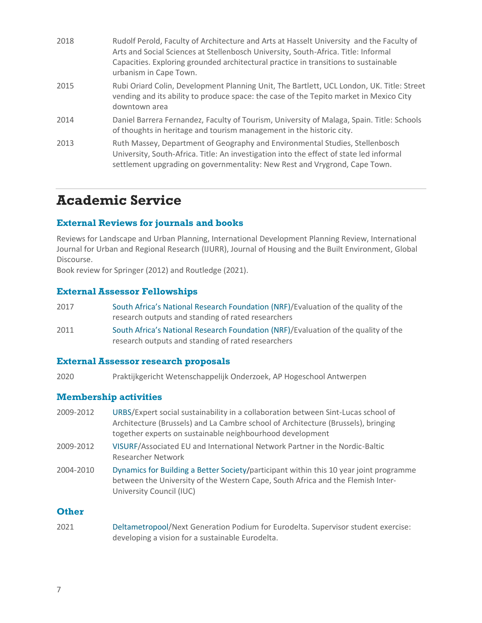| 2018 | Rudolf Perold, Faculty of Architecture and Arts at Hasselt University and the Faculty of<br>Arts and Social Sciences at Stellenbosch University, South-Africa. Title: Informal<br>Capacities. Exploring grounded architectural practice in transitions to sustainable<br>urbanism in Cape Town. |
|------|-------------------------------------------------------------------------------------------------------------------------------------------------------------------------------------------------------------------------------------------------------------------------------------------------|
| 2015 | Rubi Oriard Colin, Development Planning Unit, The Bartlett, UCL London, UK. Title: Street<br>vending and its ability to produce space: the case of the Tepito market in Mexico City<br>downtown area                                                                                            |
| 2014 | Daniel Barrera Fernandez, Faculty of Tourism, University of Malaga, Spain. Title: Schools<br>of thoughts in heritage and tourism management in the historic city.                                                                                                                               |
| 2013 | Ruth Massey, Department of Geography and Environmental Studies, Stellenbosch<br>University, South-Africa. Title: An investigation into the effect of state led informal<br>settlement upgrading on governmentality: New Rest and Vrygrond, Cape Town.                                           |

### **Academic Service**

#### **External Reviews for journals and books**

Reviews for Landscape and Urban Planning, International Development Planning Review, International Journal for Urban and Regional Research (IJURR), Journal of Housing and the Built Environment, Global Discourse.

Book review for Springer (2012) and Routledge (2021).

#### **External Assessor Fellowships**

- 2017 South Africa's National Research Foundation (NRF)/Evaluation of the quality of the research outputs and standing of rated researchers
- 2011 South Africa's National Research Foundation (NRF)/Evaluation of the quality of the research outputs and standing of rated researchers

#### **External Assessor research proposals**

2020 Praktijkgericht Wetenschappelijk Onderzoek, AP Hogeschool Antwerpen

#### **Membership activities**

- 2009-2012 URBS/Expert social sustainability in a collaboration between Sint-Lucas school of Architecture (Brussels) and La Cambre school of Architecture (Brussels), bringing together experts on sustainable neighbourhood development
- 2009-2012 VISURF/Associated EU and International Network Partner in the Nordic-Baltic Researcher Network
- 2004-2010 Dynamics for Building a Better Society/participant within this 10 year joint programme between the University of the Western Cape, South Africa and the Flemish Inter-University Council (IUC)

#### **Other**

2021 Deltametropool/Next Generation Podium for Eurodelta. Supervisor student exercise: developing a vision for a sustainable Eurodelta.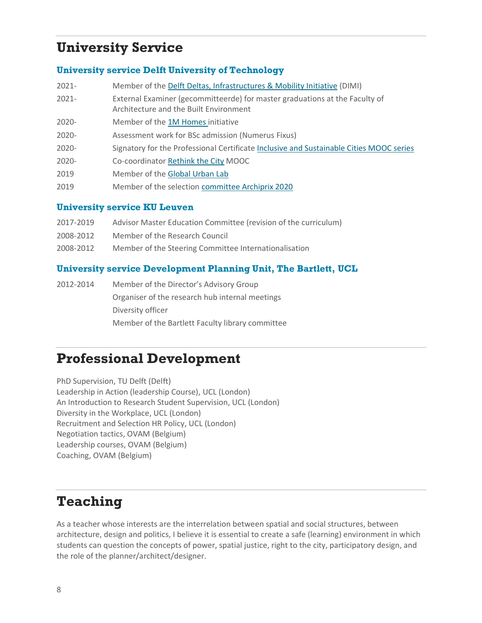## **University Service**

#### **University service Delft University of Technology**

- 2021- Member of the [Delft Deltas, Infrastructures & Mobility Initiative](https://www.tudelft.nl/infrastructures) (DIMI)
- 2021- External Examiner (gecommitteerde) for master graduations at the Faculty of Architecture and the Built Environment
- 2020- Member of the [1M Homes](https://www.tudelft.nl/en/architecture-and-the-built-environment/research/research-at-bk-bouwkunde/1m-homes) initiative
- 2020- Assessment work for BSc admission (Numerus Fixus)
- 2020- Signatory for the Professional Certificate [Inclusive and Sustainable Cities MOOC series](https://online-learning.tudelft.nl/programs/inclusive-and-sustainable-cities/)
- 2020- Co-coordinator [Rethink the City](https://online-learning.tudelft.nl/courses/rethink-the-city-new-approaches-to-global-and-local-urban-challenge/) MOOC
- 2019 Member of the [Global Urban Lab](http://www.globalurbanlab.org/about/)
- 2019 Member of the selection [committee Archiprix 2020](https://www.tudelft.nl/en/2019/bk/archiprix-selection-2020-announced/?utm_medium=email)

#### **University service KU Leuven**

- 2017-2019 Advisor Master Education Committee (revision of the curriculum)
- 2008-2012 Member of the Research Council
- 2008-2012 Member of the Steering Committee Internationalisation

#### **University service Development Planning Unit, The Bartlett, UCL**

2012-2014 Member of the Director's Advisory Group Organiser of the research hub internal meetings Diversity officer Member of the Bartlett Faculty library committee

## **Professional Development**

PhD Supervision, TU Delft (Delft) Leadership in Action (leadership Course), UCL (London) An Introduction to Research Student Supervision, UCL (London) Diversity in the Workplace, UCL (London) Recruitment and Selection HR Policy, UCL (London) Negotiation tactics, OVAM (Belgium) Leadership courses, OVAM (Belgium) Coaching, OVAM (Belgium)

## **Teaching**

As a teacher whose interests are the interrelation between spatial and social structures, between architecture, design and politics, I believe it is essential to create a safe (learning) environment in which students can question the concepts of power, spatial justice, right to the city, participatory design, and the role of the planner/architect/designer.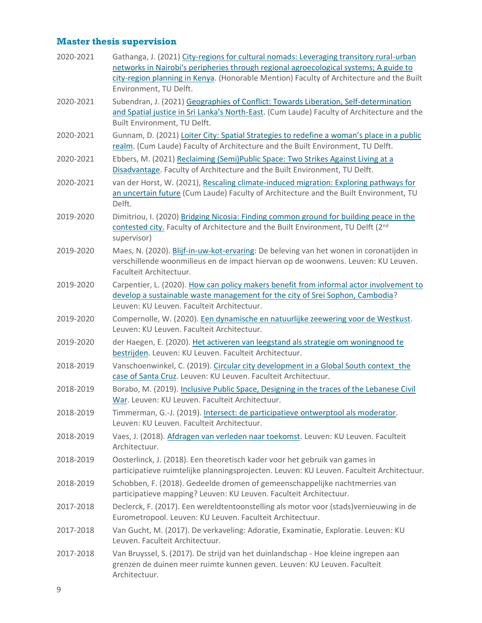### **Master thesis supervision**

| 2020-2021 | Gathanga, J. (2021) City-regions for cultural nomads: Leveraging transitory rural-urban<br>networks in Nairobi's peripheries through regional agroecological systems; A guide to<br>city-region planning in Kenya. (Honorable Mention) Faculty of Architecture and the Built<br>Environment, TU Delft. |
|-----------|--------------------------------------------------------------------------------------------------------------------------------------------------------------------------------------------------------------------------------------------------------------------------------------------------------|
| 2020-2021 | Subendran, J. (2021) Geographies of Conflict: Towards Liberation, Self-determination<br>and Spatial justice in Sri Lanka's North-East. (Cum Laude) Faculty of Architecture and the<br>Built Environment, TU Delft.                                                                                     |
| 2020-2021 | Gunnam, D. (2021) Loiter City: Spatial Strategies to redefine a woman's place in a public<br>realm. (Cum Laude) Faculty of Architecture and the Built Environment, TU Delft.                                                                                                                           |
| 2020-2021 | Ebbers, M. (2021) Reclaiming (Semi)Public Space: Two Strikes Against Living at a<br>Disadvantage. Faculty of Architecture and the Built Environment, TU Delft.                                                                                                                                         |
| 2020-2021 | van der Horst, W. (2021), Rescaling climate-induced migration: Exploring pathways for<br>an uncertain future (Cum Laude) Faculty of Architecture and the Built Environment, TU<br>Delft.                                                                                                               |
| 2019-2020 | Dimitriou, I. (2020) Bridging Nicosia: Finding common ground for building peace in the<br>contested city. Faculty of Architecture and the Built Environment, TU Delft (2nd<br>supervisor)                                                                                                              |
| 2019-2020 | Maes, N. (2020). Blijf-in-uw-kot-ervaring: De beleving van het wonen in coronatijden in<br>verschillende woonmilieus en de impact hiervan op de woonwens. Leuven: KU Leuven.<br>Faculteit Architectuur.                                                                                                |
| 2019-2020 | Carpentier, L. (2020). How can policy makers benefit from informal actor involvement to<br>develop a sustainable waste management for the city of Srei Sophon, Cambodia?<br>Leuven: KU Leuven. Faculteit Architectuur.                                                                                 |
| 2019-2020 | Compernolle, W. (2020). Een dynamische en natuurlijke zeewering voor de Westkust.<br>Leuven: KU Leuven. Faculteit Architectuur.                                                                                                                                                                        |
| 2019-2020 | der Haegen, E. (2020). Het activeren van leegstand als strategie om woningnood te<br>bestrijden. Leuven: KU Leuven. Faculteit Architectuur.                                                                                                                                                            |
| 2018-2019 | Vanschoenwinkel, C. (2019). Circular city development in a Global South context the<br>case of Santa Cruz. Leuven: KU Leuven. Faculteit Architectuur.                                                                                                                                                  |
| 2018-2019 | Borabo, M. (2019). Inclusive Public Space, Designing in the traces of the Lebanese Civil<br>War. Leuven: KU Leuven. Faculteit Architectuur.                                                                                                                                                            |
| 2018-2019 | Timmerman, G.-J. (2019). Intersect: de participatieve ontwerptool als moderator.<br>Leuven: KU Leuven. Faculteit Architectuur.                                                                                                                                                                         |
| 2018-2019 | Vaes, J. (2018). Afdragen van verleden naar toekomst. Leuven: KU Leuven. Faculteit<br>Architectuur.                                                                                                                                                                                                    |
| 2018-2019 | Oosterlinck, J. (2018). Een theoretisch kader voor het gebruik van games in<br>participatieve ruimtelijke planningsprojecten. Leuven: KU Leuven. Faculteit Architectuur.                                                                                                                               |
| 2018-2019 | Schobben, F. (2018). Gedeelde dromen of gemeenschappelijke nachtmerries van<br>participatieve mapping? Leuven: KU Leuven. Faculteit Architectuur.                                                                                                                                                      |
| 2017-2018 | Declerck, F. (2017). Een wereldtentoonstelling als motor voor (stads)vernieuwing in de<br>Eurometropool. Leuven: KU Leuven. Faculteit Architectuur.                                                                                                                                                    |
| 2017-2018 | Van Gucht, M. (2017). De verkaveling: Adoratie, Examinatie, Exploratie. Leuven: KU<br>Leuven. Faculteit Architectuur.                                                                                                                                                                                  |
| 2017-2018 | Van Bruyssel, S. (2017). De strijd van het duinlandschap - Hoe kleine ingrepen aan<br>grenzen de duinen meer ruimte kunnen geven. Leuven: KU Leuven. Faculteit<br>Architectuur.                                                                                                                        |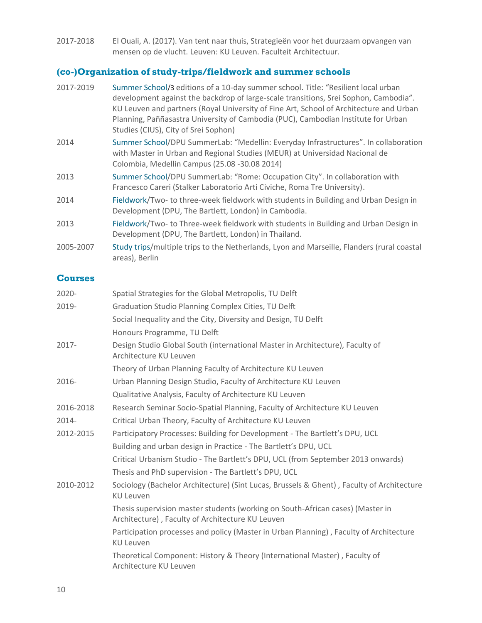2017-2018 El Ouali, A. (2017). Van tent naar thuis, Strategieën voor het duurzaam opvangen van mensen op de vlucht. Leuven: KU Leuven. Faculteit Architectuur.

### **(co-)Organization of study-trips/fieldwork and summer schools**

| 2017-2019 | Summer School/3 editions of a 10-day summer school. Title: "Resilient local urban<br>development against the backdrop of large-scale transitions, Srei Sophon, Cambodia".<br>KU Leuven and partners (Royal University of Fine Art, School of Architecture and Urban<br>Planning, Paññasastra University of Cambodia (PUC), Cambodian Institute for Urban<br>Studies (CIUS), City of Srei Sophon) |
|-----------|--------------------------------------------------------------------------------------------------------------------------------------------------------------------------------------------------------------------------------------------------------------------------------------------------------------------------------------------------------------------------------------------------|
| 2014      | Summer School/DPU SummerLab: "Medellin: Everyday Infrastructures". In collaboration<br>with Master in Urban and Regional Studies (MEUR) at Universidad Nacional de<br>Colombia, Medellin Campus (25.08 -30.08 2014)                                                                                                                                                                              |
| 2013      | Summer School/DPU SummerLab: "Rome: Occupation City". In collaboration with<br>Francesco Careri (Stalker Laboratorio Arti Civiche, Roma Tre University).                                                                                                                                                                                                                                         |
| 2014      | Fieldwork/Two-to three-week fieldwork with students in Building and Urban Design in<br>Development (DPU, The Bartlett, London) in Cambodia.                                                                                                                                                                                                                                                      |
| 2013      | Fieldwork/Two-to Three-week fieldwork with students in Building and Urban Design in<br>Development (DPU, The Bartlett, London) in Thailand.                                                                                                                                                                                                                                                      |
| 2005-2007 | Study trips/multiple trips to the Netherlands, Lyon and Marseille, Flanders (rural coastal<br>areas), Berlin                                                                                                                                                                                                                                                                                     |

### **Courses**

| 2020-     | Spatial Strategies for the Global Metropolis, TU Delft                                                                             |
|-----------|------------------------------------------------------------------------------------------------------------------------------------|
| 2019-     | Graduation Studio Planning Complex Cities, TU Delft                                                                                |
|           | Social Inequality and the City, Diversity and Design, TU Delft                                                                     |
|           | Honours Programme, TU Delft                                                                                                        |
| 2017-     | Design Studio Global South (international Master in Architecture), Faculty of<br>Architecture KU Leuven                            |
|           | Theory of Urban Planning Faculty of Architecture KU Leuven                                                                         |
| 2016-     | Urban Planning Design Studio, Faculty of Architecture KU Leuven                                                                    |
|           | Qualitative Analysis, Faculty of Architecture KU Leuven                                                                            |
| 2016-2018 | Research Seminar Socio-Spatial Planning, Faculty of Architecture KU Leuven                                                         |
| 2014-     | Critical Urban Theory, Faculty of Architecture KU Leuven                                                                           |
| 2012-2015 | Participatory Processes: Building for Development - The Bartlett's DPU, UCL                                                        |
|           | Building and urban design in Practice - The Bartlett's DPU, UCL                                                                    |
|           | Critical Urbanism Studio - The Bartlett's DPU, UCL (from September 2013 onwards)                                                   |
|           | Thesis and PhD supervision - The Bartlett's DPU, UCL                                                                               |
| 2010-2012 | Sociology (Bachelor Architecture) (Sint Lucas, Brussels & Ghent), Faculty of Architecture<br><b>KU Leuven</b>                      |
|           | Thesis supervision master students (working on South-African cases) (Master in<br>Architecture), Faculty of Architecture KU Leuven |
|           | Participation processes and policy (Master in Urban Planning), Faculty of Architecture<br><b>KU Leuven</b>                         |
|           | Theoretical Component: History & Theory (International Master), Faculty of<br>Architecture KU Leuven                               |
|           |                                                                                                                                    |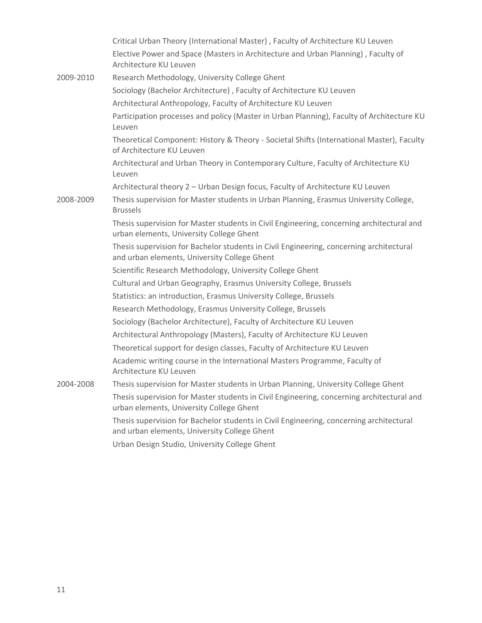|           | Critical Urban Theory (International Master), Faculty of Architecture KU Leuven                                                         |
|-----------|-----------------------------------------------------------------------------------------------------------------------------------------|
|           | Elective Power and Space (Masters in Architecture and Urban Planning), Faculty of<br>Architecture KU Leuven                             |
| 2009-2010 | Research Methodology, University College Ghent                                                                                          |
|           | Sociology (Bachelor Architecture), Faculty of Architecture KU Leuven                                                                    |
|           | Architectural Anthropology, Faculty of Architecture KU Leuven                                                                           |
|           | Participation processes and policy (Master in Urban Planning), Faculty of Architecture KU<br>Leuven                                     |
|           | Theoretical Component: History & Theory - Societal Shifts (International Master), Faculty<br>of Architecture KU Leuven                  |
|           | Architectural and Urban Theory in Contemporary Culture, Faculty of Architecture KU<br>Leuven                                            |
|           | Architectural theory 2 - Urban Design focus, Faculty of Architecture KU Leuven                                                          |
| 2008-2009 | Thesis supervision for Master students in Urban Planning, Erasmus University College,<br><b>Brussels</b>                                |
|           | Thesis supervision for Master students in Civil Engineering, concerning architectural and<br>urban elements, University College Ghent   |
|           | Thesis supervision for Bachelor students in Civil Engineering, concerning architectural<br>and urban elements, University College Ghent |
|           | Scientific Research Methodology, University College Ghent                                                                               |
|           | Cultural and Urban Geography, Erasmus University College, Brussels                                                                      |
|           | Statistics: an introduction, Erasmus University College, Brussels                                                                       |
|           | Research Methodology, Erasmus University College, Brussels                                                                              |
|           | Sociology (Bachelor Architecture), Faculty of Architecture KU Leuven                                                                    |
|           | Architectural Anthropology (Masters), Faculty of Architecture KU Leuven                                                                 |
|           | Theoretical support for design classes, Faculty of Architecture KU Leuven                                                               |
|           | Academic writing course in the International Masters Programme, Faculty of<br>Architecture KU Leuven                                    |
| 2004-2008 | Thesis supervision for Master students in Urban Planning, University College Ghent                                                      |
|           | Thesis supervision for Master students in Civil Engineering, concerning architectural and<br>urban elements, University College Ghent   |
|           | Thesis supervision for Bachelor students in Civil Engineering, concerning architectural<br>and urban elements, University College Ghent |

Urban Design Studio, University College Ghent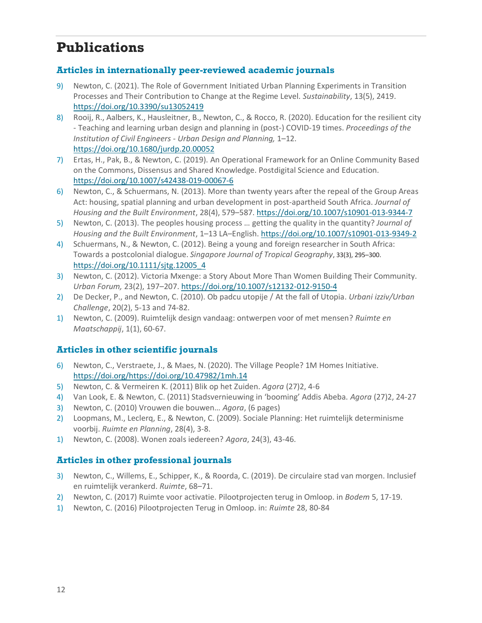## **Publications**

#### **Articles in internationally peer-reviewed academic journals**

- 9) Newton, C. (2021). The Role of Government Initiated Urban Planning Experiments in Transition Processes and Their Contribution to Change at the Regime Level*. Sustainability*, 13(5), 2419. <https://doi.org/10.3390/su13052419>
- 8) Rooij, R., Aalbers, K., Hausleitner, B., Newton, C., & Rocco, R. (2020). Education for the resilient city - Teaching and learning urban design and planning in (post-) COVID-19 times. *Proceedings of the Institution of Civil Engineers - Urban Design and Planning,* 1–12. <https://doi.org/10.1680/jurdp.20.00052>
- 7) Ertas, H., Pak, B., & Newton, C. (2019). An Operational Framework for an Online Community Based on the Commons, Dissensus and Shared Knowledge. Postdigital Science and Education. <https://doi.org/10.1007/s42438-019-00067-6>
- 6) Newton, C., & Schuermans, N. (2013). More than twenty years after the repeal of the Group Areas Act: housing, spatial planning and urban development in post-apartheid South Africa. *Journal of Housing and the Built Environment*, 28(4), 579–587.<https://doi.org/10.1007/s10901-013-9344-7>
- 5) Newton, C. (2013). The peoples housing process … getting the quality in the quantity? *Journal of Housing and the Built Environment*, 1–13 LA–English[. https://doi.org/10.1007/s10901-013-9349-2](https://doi.org/10.1007/s10901-013-9349-2)
- 4) Schuermans, N., & Newton, C. (2012). Being a young and foreign researcher in South Africa: Towards a postcolonial dialogue. *Singapore Journal of Tropical Geography*, 33(3), 295–300. [https://doi.org/10.1111/sjtg.12005\\_4](https://doi.org/10.1111/sjtg.12005_4)
- 3) Newton, C. (2012). Victoria Mxenge: a Story About More Than Women Building Their Community. *Urban Forum,* 23(2), 197–207.<https://doi.org/10.1007/s12132-012-9150-4>
- 2) De Decker, P., and Newton, C. (2010). Ob padcu utopije / At the fall of Utopia. *Urbani izziv/Urban Challenge*, 20(2), 5-13 and 74-82.
- 1) Newton, C. (2009). Ruimtelijk design vandaag: ontwerpen voor of met mensen? *Ruimte en Maatschappij*, 1(1), 60-67.

#### **Articles in other scientific journals**

- 6) Newton, C., Verstraete, J., & Maes, N. (2020). The Village People? 1M Homes Initiative. [https://doi.org/https://doi.org/10.47982/1mh.14](https://doi.org/https:/doi.org/10.47982/1mh.14)
- 5) Newton, C. & Vermeiren K. (2011) Blik op het Zuiden. *Agora* (27)2, 4-6
- 4) Van Look, E. & Newton, C. (2011) Stadsvernieuwing in 'booming' Addis Abeba. *Agora* (27)2, 24-27
- 3) Newton, C. (2010) Vrouwen die bouwen… *Agora*, (6 pages)
- 2) Loopmans, M., Leclerq, E., & Newton, C. (2009). Sociale Planning: Het ruimtelijk determinisme voorbij. *Ruimte en Planning*, 28(4), 3-8.
- 1) Newton, C. (2008). Wonen zoals iedereen? *Agora*, 24(3), 43-46.

#### **Articles in other professional journals**

- 3) Newton, C., Willems, E., Schipper, K., & Roorda, C. (2019). De circulaire stad van morgen. Inclusief en ruimtelijk verankerd. *Ruimte*, 68–71.
- 2) Newton, C. (2017) Ruimte voor activatie. Pilootprojecten terug in Omloop. in *Bodem* 5, 17-19.
- 1) Newton, C. (2016) Pilootprojecten Terug in Omloop. in: *Ruimte* 28, 80-84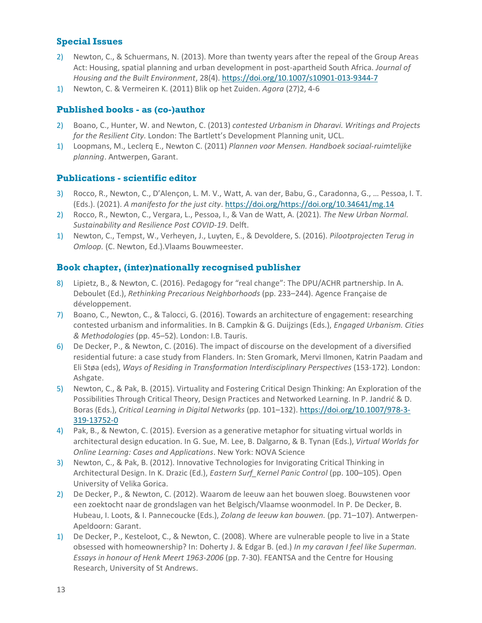### **Special Issues**

- 2) Newton, C., & Schuermans, N. (2013). More than twenty years after the repeal of the Group Areas Act: Housing, spatial planning and urban development in post-apartheid South Africa. *Journal of Housing and the Built Environment*, 28(4).<https://doi.org/10.1007/s10901-013-9344-7>
- 1) Newton, C. & Vermeiren K. (2011) Blik op het Zuiden. *Agora* (27)2, 4-6

#### **Published books - as (co-)author**

- 2) Boano, C., Hunter, W. and Newton, C. (2013) *contested Urbanism in Dharavi. Writings and Projects for the Resilient City.* London: The Bartlett's Development Planning unit, UCL.
- 1) Loopmans, M., Leclerq E., Newton C. (2011) *Plannen voor Mensen. Handboek sociaal-ruimtelijke planning*. Antwerpen, Garant.

#### **Publications - scientific editor**

- 3) Rocco, R., Newton, C., D'Alençon, L. M. V., Watt, A. van der, Babu, G., Caradonna, G., … Pessoa, I. T. (Eds.). (2021). *A manifesto for the just city*. [https://doi.org/https://doi.org/10.34641/mg.14](https://doi.org/https:/doi.org/10.34641/mg.14)
- 2) Rocco, R., Newton, C., Vergara, L., Pessoa, I., & Van de Watt, A. (2021). *The New Urban Normal. Sustainability and Resilience Post COVID-19*. Delft.
- 1) Newton, C., Tempst, W., Verheyen, J., Luyten, E., & Devoldere, S. (2016). *Pilootprojecten Terug in Omloop.* (C. Newton, Ed.).Vlaams Bouwmeester.

#### **Book chapter, (inter)nationally recognised publisher**

- 8) Lipietz, B., & Newton, C. (2016). Pedagogy for "real change": The DPU/ACHR partnership. In A. Deboulet (Ed.), *Rethinking Precarious Neighborhoods* (pp. 233–244). Agence Française de développement.
- 7) Boano, C., Newton, C., & Talocci, G. (2016). Towards an architecture of engagement: researching contested urbanism and informalities. In B. Campkin & G. Duijzings (Eds.), *Engaged Urbanism. Cities & Methodologies* (pp. 45–52). London: I.B. Tauris.
- 6) De Decker, P., & Newton, C. (2016). The impact of discourse on the development of a diversified residential future: a case study from Flanders. In: Sten Gromark, Mervi Ilmonen, Katrin Paadam and Eli Støa (eds), *Ways of Residing in Transformation Interdisciplinary Perspectives* (153-172). London: Ashgate.
- 5) Newton, C., & Pak, B. (2015). Virtuality and Fostering Critical Design Thinking: An Exploration of the Possibilities Through Critical Theory, Design Practices and Networked Learning. In P. Jandrić & D. Boras (Eds.), *Critical Learning in Digital Networks* (pp. 101–132). [https://doi.org/10.1007/978-3-](https://doi.org/10.1007/978-3-319-13752-0) [319-13752-0](https://doi.org/10.1007/978-3-319-13752-0)
- 4) Pak, B., & Newton, C. (2015). Eversion as a generative metaphor for situating virtual worlds in architectural design education. In G. Sue, M. Lee, B. Dalgarno, & B. Tynan (Eds.), *Virtual Worlds for Online Learning: Cases and Applications*. New York: NOVA Science
- 3) Newton, C., & Pak, B. (2012). Innovative Technologies for Invigorating Critical Thinking in Architectural Design. In K. Drazic (Ed.), *Eastern Surf\_Kernel Panic Control* (pp. 100–105). Open University of Velika Gorica.
- 2) De Decker, P., & Newton, C. (2012). Waarom de leeuw aan het bouwen sloeg. Bouwstenen voor een zoektocht naar de grondslagen van het Belgisch/Vlaamse woonmodel. In P. De Decker, B. Hubeau, I. Loots, & I. Pannecoucke (Eds.), *Zolang de leeuw kan bouwen.* (pp. 71–107). Antwerpen-Apeldoorn: Garant.
- 1) De Decker, P., Kesteloot, C., & Newton, C. (2008). Where are vulnerable people to live in a State obsessed with homeownership? In: Doherty J. & Edgar B. (ed.) *In my caravan I feel like Superman. Essays in honour of Henk Meert 1963-2006* (pp. 7-30). FEANTSA and the Centre for Housing Research, University of St Andrews.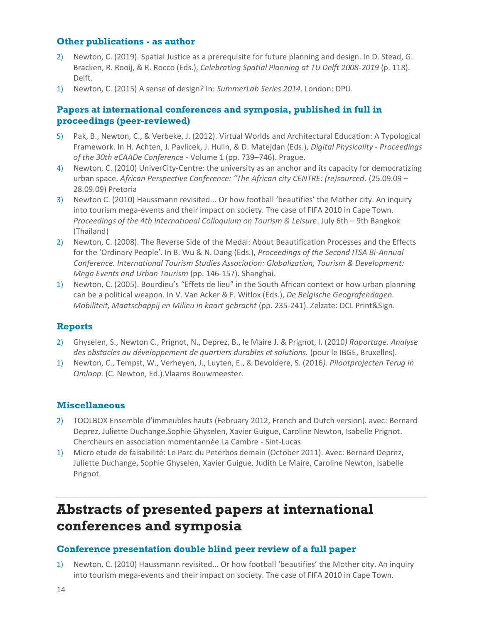#### **Other publications - as author**

- 2) Newton, C. (2019). Spatial Justice as a prerequisite for future planning and design. In D. Stead, G. Bracken, R. Rooij, & R. Rocco (Eds.), *Celebrating Spatial Planning at TU Delft 2008-2019* (p. 118). Delft.
- 1) Newton, C. (2015) A sense of design? In: *SummerLab Series 2014*. London: DPU.

#### **Papers at international conferences and symposia, published in full in proceedings (peer-reviewed)**

- 5) Pak, B., Newton, C., & Verbeke, J. (2012). Virtual Worlds and Architectural Education: A Typological Framework. In H. Achten, J. Pavlicek, J. Hulin, & D. Matejdan (Eds.), *Digital Physicality - Proceedings of the 30th eCAADe Conference* - Volume 1 (pp. 739–746). Prague.
- 4) Newton, C. (2010) UniverCity-Centre: the university as an anchor and its capacity for democratizing urban space. *African Perspective Conference: "The African city CENTRE: (re)sourced*. (25.09.09 – 28.09.09) Pretoria
- 3) Newton C. (2010) Haussmann revisited... Or how football 'beautifies' the Mother city. An inquiry into tourism mega-events and their impact on society. The case of FIFA 2010 in Cape Town. *Proceedings of the 4th International Colloquium on Tourism & Leisure*. July 6th – 9th Bangkok (Thailand)
- 2) Newton, C. (2008). The Reverse Side of the Medal: About Beautification Processes and the Effects for the 'Ordinary People'. In B. Wu & N. Dang (Eds.), *Proceedings of the Second ITSA Bi-Annual Conference. International Tourism Studies Association: Globalization, Tourism & Development: Mega Events and Urban Tourism* (pp. 146-157). Shanghai.
- 1) Newton, C. (2005). Bourdieu's "Effets de lieu" in the South African context or how urban planning can be a political weapon. In V. Van Acker & F. Witlox (Eds.), *De Belgische Geografendagen. Mobiliteit, Maatschappij en Milieu in kaart gebracht* (pp. 235-241). Zelzate: DCL Print&Sign.

#### **Reports**

- 2) Ghyselen, S., Newton C., Prignot, N., Deprez, B., le Maire J. & Prignot, I. (2010*) Raportage. Analyse des obstacles au développement de quartiers durables et solutions.* (pour le IBGE, Bruxelles).
- 1) Newton, C., Tempst, W., Verheyen, J., Luyten, E., & Devoldere, S. (2016*). Pilootprojecten Terug in Omloop.* (C. Newton, Ed.).Vlaams Bouwmeester.

#### **Miscellaneous**

- 2) TOOLBOX Ensemble d'immeubles hauts (February 2012, French and Dutch version). avec: Bernard Deprez, Juliette Duchange,Sophie Ghyselen, Xavier Guigue, Caroline Newton, Isabelle Prignot. Chercheurs en association momentannée La Cambre - Sint-Lucas
- 1) Micro etude de faisabilité: Le Parc du Peterbos demain (October 2011). Avec: Bernard Deprez, Juliette Duchange, Sophie Ghyselen, Xavier Guigue, Judith Le Maire, Caroline Newton, Isabelle Prignot.

## **Abstracts of presented papers at international conferences and symposia**

#### **Conference presentation double blind peer review of a full paper**

1) Newton, C. (2010) Haussmann revisited... Or how football 'beautifies' the Mother city. An inquiry into tourism mega-events and their impact on society. The case of FIFA 2010 in Cape Town.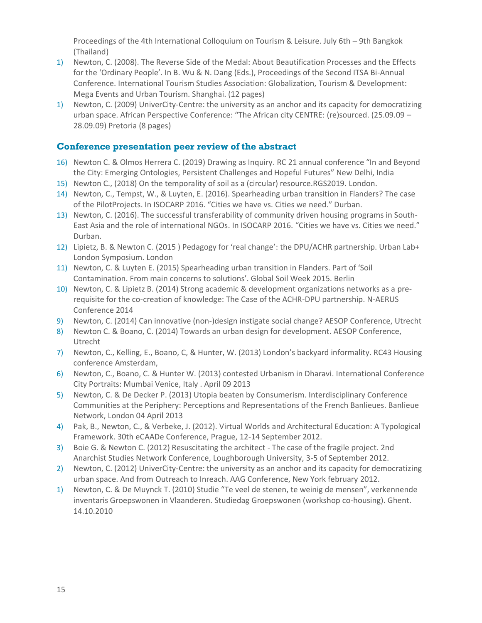Proceedings of the 4th International Colloquium on Tourism & Leisure. July 6th – 9th Bangkok (Thailand)

- 1) Newton, C. (2008). The Reverse Side of the Medal: About Beautification Processes and the Effects for the 'Ordinary People'. In B. Wu & N. Dang (Eds.), Proceedings of the Second ITSA Bi-Annual Conference. International Tourism Studies Association: Globalization, Tourism & Development: Mega Events and Urban Tourism. Shanghai. (12 pages)
- 1) Newton, C. (2009) UniverCity-Centre: the university as an anchor and its capacity for democratizing urban space. African Perspective Conference: "The African city CENTRE: (re)sourced. (25.09.09 – 28.09.09) Pretoria (8 pages)

#### **Conference presentation peer review of the abstract**

- 16) Newton C. & Olmos Herrera C. (2019) Drawing as Inquiry. RC 21 annual conference "In and Beyond the City: Emerging Ontologies, Persistent Challenges and Hopeful Futures" New Delhi, India
- 15) Newton C., (2018) On the temporality of soil as a (circular) resource.RGS2019. London.
- 14) Newton, C., Tempst, W., & Luyten, E. (2016). Spearheading urban transition in Flanders? The case of the PilotProjects. In ISOCARP 2016. "Cities we have vs. Cities we need." Durban.
- 13) Newton, C. (2016). The successful transferability of community driven housing programs in South-East Asia and the role of international NGOs. In ISOCARP 2016. "Cities we have vs. Cities we need." Durban.
- 12) Lipietz, B. & Newton C. (2015 ) Pedagogy for 'real change': the DPU/ACHR partnership. Urban Lab+ London Symposium. London
- 11) Newton, C. & Luyten E. (2015) Spearheading urban transition in Flanders. Part of 'Soil Contamination. From main concerns to solutions'. Global Soil Week 2015. Berlin
- 10) Newton, C. & Lipietz B. (2014) Strong academic & development organizations networks as a prerequisite for the co-creation of knowledge: The Case of the ACHR-DPU partnership. N-AERUS Conference 2014
- 9) Newton, C. (2014) Can innovative (non-)design instigate social change? AESOP Conference, Utrecht
- 8) Newton C. & Boano, C. (2014) Towards an urban design for development. AESOP Conference, Utrecht
- 7) Newton, C., Kelling, E., Boano, C, & Hunter, W. (2013) London's backyard informality. RC43 Housing conference Amsterdam,
- 6) Newton, C., Boano, C. & Hunter W. (2013) contested Urbanism in Dharavi. International Conference City Portraits: Mumbai Venice, Italy . April 09 2013
- 5) Newton, C. & De Decker P. (2013) Utopia beaten by Consumerism. Interdisciplinary Conference Communities at the Periphery: Perceptions and Representations of the French Banlieues. Banlieue Network, London 04 April 2013
- 4) Pak, B., Newton, C., & Verbeke, J. (2012). Virtual Worlds and Architectural Education: A Typological Framework. 30th eCAADe Conference, Prague, 12-14 September 2012.
- 3) Boie G. & Newton C. (2012) Resuscitating the architect The case of the fragile project. 2nd Anarchist Studies Network Conference, Loughborough University, 3-5 of September 2012.
- 2) Newton, C. (2012) UniverCity-Centre: the university as an anchor and its capacity for democratizing urban space. And from Outreach to Inreach. AAG Conference, New York february 2012.
- 1) Newton, C. & De Muynck T. (2010) Studie "Te veel de stenen, te weinig de mensen", verkennende inventaris Groepswonen in Vlaanderen. Studiedag Groepswonen (workshop co-housing). Ghent. 14.10.2010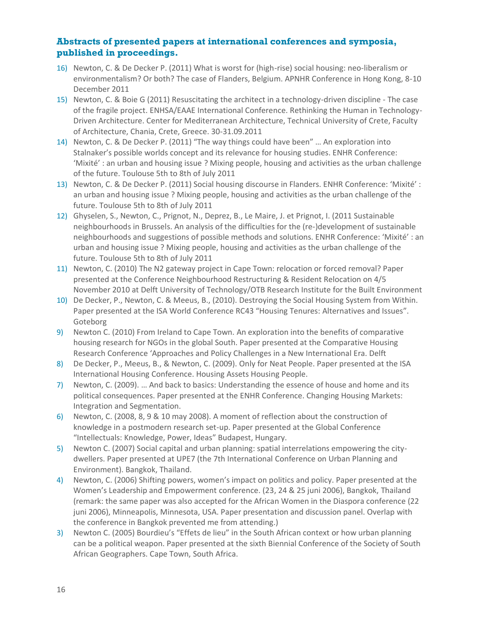#### **Abstracts of presented papers at international conferences and symposia, published in proceedings.**

- 16) Newton, C. & De Decker P. (2011) What is worst for (high-rise) social housing: neo-liberalism or environmentalism? Or both? The case of Flanders, Belgium. APNHR Conference in Hong Kong, 8-10 December 2011
- 15) Newton, C. & Boie G (2011) Resuscitating the architect in a technology-driven discipline The case of the fragile project. ENHSA/EAAE International Conference. Rethinking the Human in Technology-Driven Architecture. Center for Mediterranean Architecture, Technical University of Crete, Faculty of Architecture, Chania, Crete, Greece. 30-31.09.2011
- 14) Newton, C. & De Decker P. (2011) "The way things could have been" … An exploration into Stalnaker's possible worlds concept and its relevance for housing studies. ENHR Conference: 'Mixité' : an urban and housing issue ? Mixing people, housing and activities as the urban challenge of the future. Toulouse 5th to 8th of July 2011
- 13) Newton, C. & De Decker P. (2011) Social housing discourse in Flanders. ENHR Conference: 'Mixité' : an urban and housing issue ? Mixing people, housing and activities as the urban challenge of the future. Toulouse 5th to 8th of July 2011
- 12) Ghyselen, S., Newton, C., Prignot, N., Deprez, B., Le Maire, J. et Prignot, I. (2011 Sustainable neighbourhoods in Brussels. An analysis of the difficulties for the (re-)development of sustainable neighbourhoods and suggestions of possible methods and solutions. ENHR Conference: 'Mixité' : an urban and housing issue ? Mixing people, housing and activities as the urban challenge of the future. Toulouse 5th to 8th of July 2011
- 11) Newton, C. (2010) The N2 gateway project in Cape Town: relocation or forced removal? Paper presented at the Conference Neighbourhood Restructuring & Resident Relocation on 4/5 November 2010 at Delft University of Technology/OTB Research Institute for the Built Environment
- 10) De Decker, P., Newton, C. & Meeus, B., (2010). Destroying the Social Housing System from Within. Paper presented at the ISA World Conference RC43 "Housing Tenures: Alternatives and Issues". Goteborg
- 9) Newton C. (2010) From Ireland to Cape Town. An exploration into the benefits of comparative housing research for NGOs in the global South. Paper presented at the Comparative Housing Research Conference 'Approaches and Policy Challenges in a New International Era. Delft
- 8) De Decker, P., Meeus, B., & Newton, C. (2009). Only for Neat People. Paper presented at the ISA International Housing Conference. Housing Assets Housing People.
- 7) Newton, C. (2009). … And back to basics: Understanding the essence of house and home and its political consequences. Paper presented at the ENHR Conference. Changing Housing Markets: Integration and Segmentation.
- 6) Newton, C. (2008, 8, 9 & 10 may 2008). A moment of reflection about the construction of knowledge in a postmodern research set-up. Paper presented at the Global Conference "Intellectuals: Knowledge, Power, Ideas" Budapest, Hungary.
- 5) Newton C. (2007) Social capital and urban planning: spatial interrelations empowering the citydwellers. Paper presented at UPE7 (the 7th International Conference on Urban Planning and Environment). Bangkok, Thailand.
- 4) Newton, C. (2006) Shifting powers, women's impact on politics and policy. Paper presented at the Women's Leadership and Empowerment conference. (23, 24 & 25 juni 2006), Bangkok, Thailand (remark: the same paper was also accepted for the African Women in the Diaspora conference (22 juni 2006), Minneapolis, Minnesota, USA. Paper presentation and discussion panel. Overlap with the conference in Bangkok prevented me from attending.)
- 3) Newton C. (2005) Bourdieu's "Effets de lieu" in the South African context or how urban planning can be a political weapon. Paper presented at the sixth Biennial Conference of the Society of South African Geographers. Cape Town, South Africa.